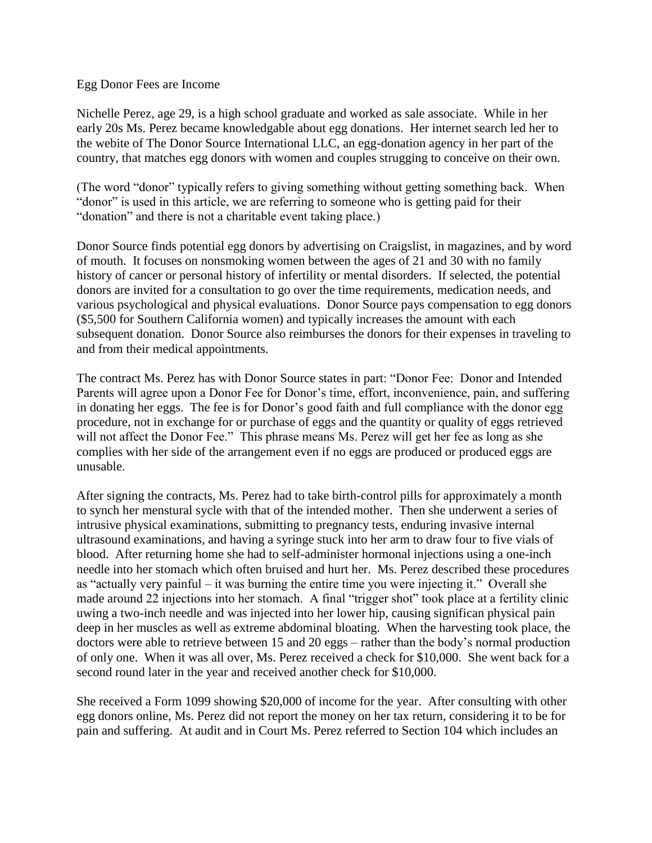## Egg Donor Fees are Income

Nichelle Perez, age 29, is a high school graduate and worked as sale associate. While in her early 20s Ms. Perez became knowledgable about egg donations. Her internet search led her to the webite of The Donor Source International LLC, an egg-donation agency in her part of the country, that matches egg donors with women and couples strugging to conceive on their own.

(The word "donor" typically refers to giving something without getting something back. When "donor" is used in this article, we are referring to someone who is getting paid for their "donation" and there is not a charitable event taking place.)

Donor Source finds potential egg donors by advertising on Craigslist, in magazines, and by word of mouth. It focuses on nonsmoking women between the ages of 21 and 30 with no family history of cancer or personal history of infertility or mental disorders. If selected, the potential donors are invited for a consultation to go over the time requirements, medication needs, and various psychological and physical evaluations. Donor Source pays compensation to egg donors (\$5,500 for Southern California women) and typically increases the amount with each subsequent donation. Donor Source also reimburses the donors for their expenses in traveling to and from their medical appointments.

The contract Ms. Perez has with Donor Source states in part: "Donor Fee: Donor and Intended Parents will agree upon a Donor Fee for Donor's time, effort, inconvenience, pain, and suffering in donating her eggs. The fee is for Donor's good faith and full compliance with the donor egg procedure, not in exchange for or purchase of eggs and the quantity or quality of eggs retrieved will not affect the Donor Fee." This phrase means Ms. Perez will get her fee as long as she complies with her side of the arrangement even if no eggs are produced or produced eggs are unusable.

After signing the contracts, Ms. Perez had to take birth-control pills for approximately a month to synch her menstural sycle with that of the intended mother. Then she underwent a series of intrusive physical examinations, submitting to pregnancy tests, enduring invasive internal ultrasound examinations, and having a syringe stuck into her arm to draw four to five vials of blood. After returning home she had to self-administer hormonal injections using a one-inch needle into her stomach which often bruised and hurt her. Ms. Perez described these procedures as "actually very painful – it was burning the entire time you were injecting it." Overall she made around 22 injections into her stomach. A final "trigger shot" took place at a fertility clinic uwing a two-inch needle and was injected into her lower hip, causing significan physical pain deep in her muscles as well as extreme abdominal bloating. When the harvesting took place, the doctors were able to retrieve between 15 and 20 eggs – rather than the body's normal production of only one. When it was all over, Ms. Perez received a check for \$10,000. She went back for a second round later in the year and received another check for \$10,000.

She received a Form 1099 showing \$20,000 of income for the year. After consulting with other egg donors online, Ms. Perez did not report the money on her tax return, considering it to be for pain and suffering. At audit and in Court Ms. Perez referred to Section 104 which includes an